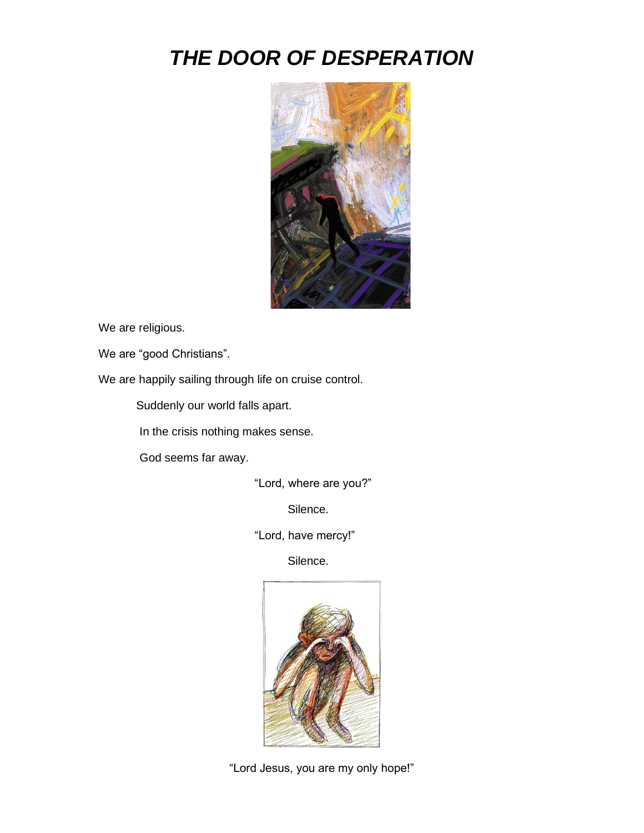## *THE DOOR OF DESPERATION*



We are religious.

We are "good Christians".

We are happily sailing through life on cruise control.

Suddenly our world falls apart.

In the crisis nothing makes sense.

God seems far away.

"Lord, where are you?"

Silence.

"Lord, have mercy!"

Silence.



"Lord Jesus, you are my only hope!"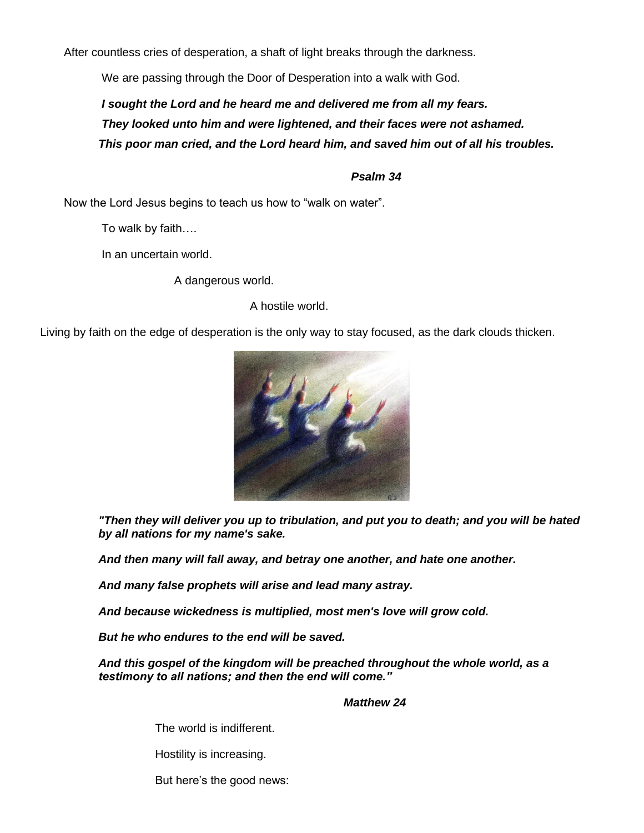After countless cries of desperation, a shaft of light breaks through the darkness.

We are passing through the Door of Desperation into a walk with God.

*I sought the Lord and he heard me and delivered me from all my fears. They looked unto him and were lightened, and their faces were not ashamed. This poor man cried, and the Lord heard him, and saved him out of all his troubles.*

## *Psalm 34*

Now the Lord Jesus begins to teach us how to "walk on water".

To walk by faith….

In an uncertain world.

A dangerous world.

A hostile world.

Living by faith on the edge of desperation is the only way to stay focused, as the dark clouds thicken.



*"Then they will deliver you up to tribulation, and put you to death; and you will be hated by all nations for my name's sake.*

*And then many will fall away, and betray one another, and hate one another.*

*And many false prophets will arise and lead many astray.*

*And because wickedness is multiplied, most men's love will grow cold.*

*But he who endures to the end will be saved.*

*And this gospel of the kingdom will be preached throughout the whole world, as a testimony to all nations; and then the end will come."*

## *Matthew 24*

The world is indifferent.

Hostility is increasing.

But here's the good news: